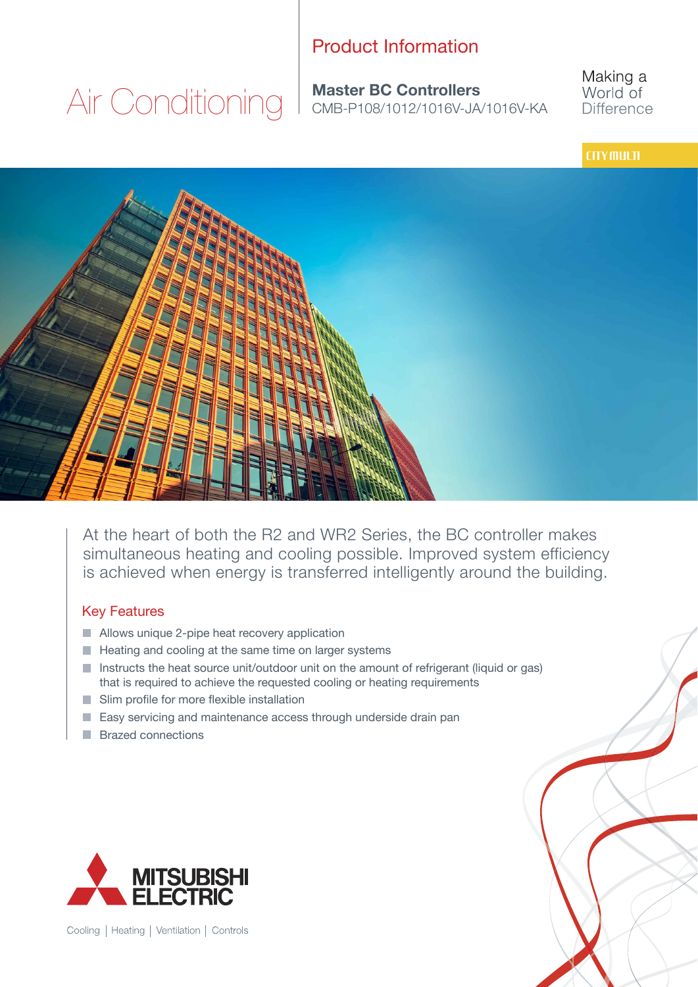### Product Information

**Master BC Controllers** Air Conditioning I Master BC Controllers Making a World of **Difference** 

#### **CITY MULTI**



At the heart of both the R2 and WR2 Series, the BC controller makes simultaneous heating and cooling possible. Improved system efficiency is achieved when energy is transferred intelligently around the building.

#### Key Features

- Allows unique 2-pipe heat recovery application
- $\blacksquare$  Heating and cooling at the same time on larger systems
- Instructs the heat source unit/outdoor unit on the amount of refrigerant (liquid or gas) that is required to achieve the requested cooling or heating requirements
- Slim profile for more flexible installation
- $\blacksquare$  Easy servicing and maintenance access through underside drain pan
- **Brazed connections**



Cooling | Heating | Ventilation | Controls